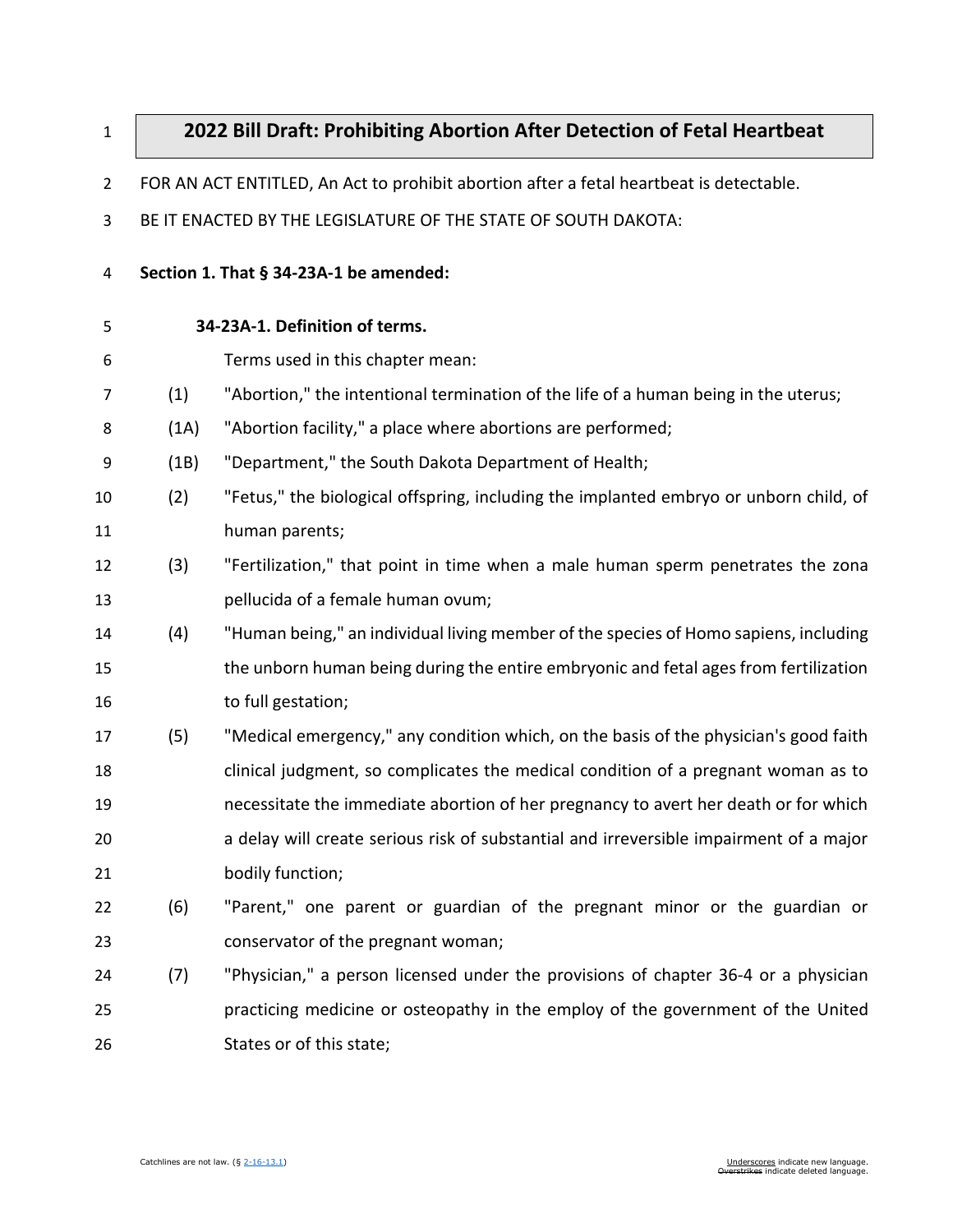# **2022 Bill Draft: Prohibiting Abortion After Detection of Fetal Heartbeat** FOR AN ACT ENTITLED, An Act to prohibit abortion after a fetal heartbeat is detectable. BE IT ENACTED BY THE LEGISLATURE OF THE STATE OF SOUTH DAKOTA: **Section 1. That § 34-23A-1 be amended: 34-23A-1. Definition of terms.** Terms used in this chapter mean: (1) "Abortion," the intentional termination of the life of a human being in the uterus; (1A) "Abortion facility," a place where abortions are performed; (1B) "Department," the South Dakota Department of Health; (2) "Fetus," the biological offspring, including the implanted embryo or unborn child, of human parents; (3) "Fertilization," that point in time when a male human sperm penetrates the zona pellucida of a female human ovum; (4) "Human being," an individual living member of the species of Homo sapiens, including the unborn human being during the entire embryonic and fetal ages from fertilization 16 to full gestation; (5) "Medical emergency," any condition which, on the basis of the physician's good faith clinical judgment, so complicates the medical condition of a pregnant woman as to necessitate the immediate abortion of her pregnancy to avert her death or for which a delay will create serious risk of substantial and irreversible impairment of a major 21 bodily function; (6) "Parent," one parent or guardian of the pregnant minor or the guardian or conservator of the pregnant woman; (7) "Physician," a person licensed under the provisions of chapter 36-4 or a physician practicing medicine or osteopathy in the employ of the government of the United States or of this state;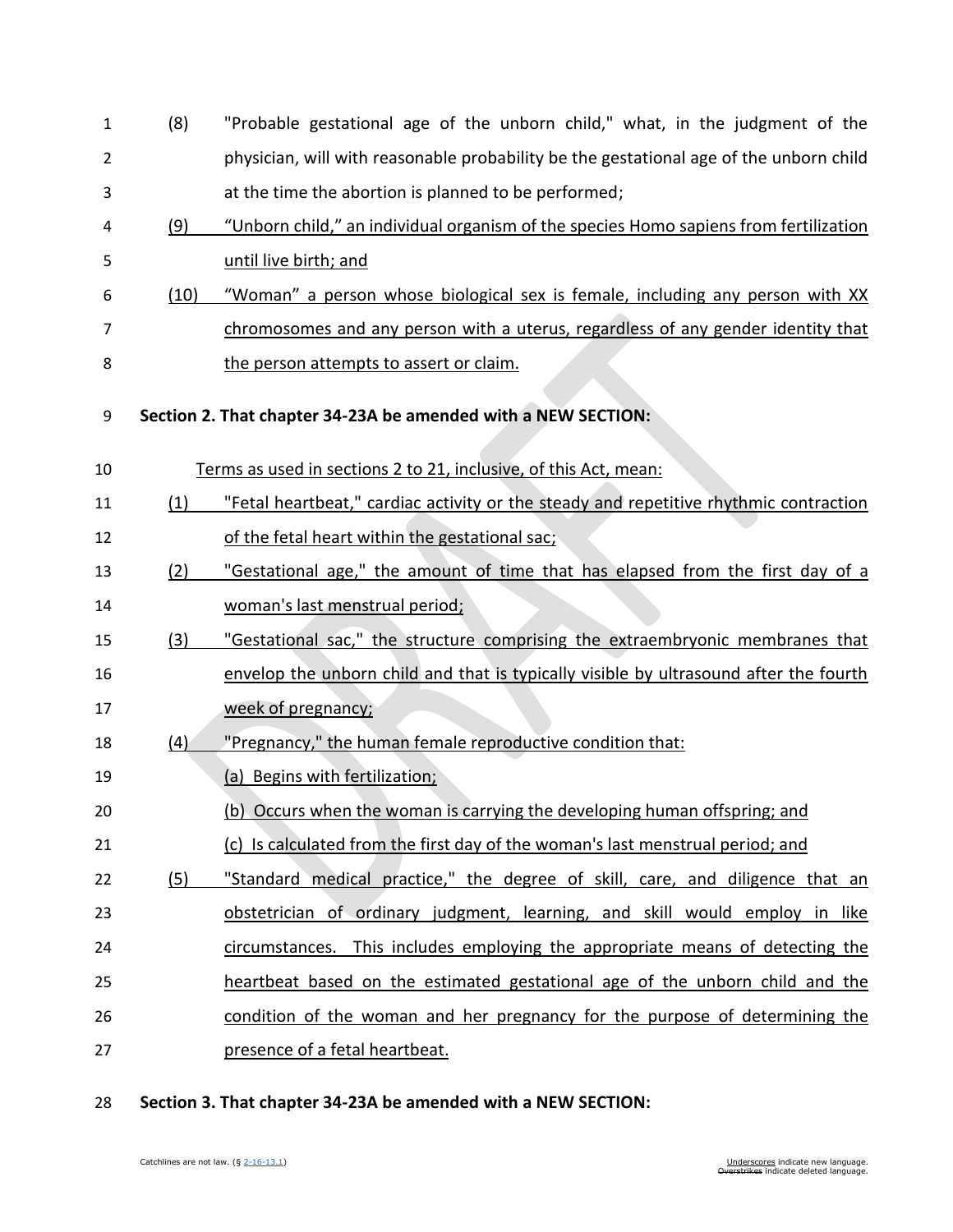| (8)  | "Probable gestational age of the unborn child," what, in the judgment of the           |
|------|----------------------------------------------------------------------------------------|
|      | physician, will with reasonable probability be the gestational age of the unborn child |
|      | at the time the abortion is planned to be performed;                                   |
| (9)  | "Unborn child," an individual organism of the species Homo sapiens from fertilization  |
|      | until live birth; and                                                                  |
| (10) | "Woman" a person whose biological sex is female, including any person with XX          |
|      | chromosomes and any person with a uterus, regardless of any gender identity that       |
|      | the person attempts to assert or claim.                                                |
|      | Section 2. That chapter 34-23A be amended with a NEW SECTION:                          |
|      | Terms as used in sections 2 to 21, inclusive, of this Act, mean:                       |
| (1)  | "Fetal heartbeat," cardiac activity or the steady and repetitive rhythmic contraction  |
|      | of the fetal heart within the gestational sac;                                         |
| (2)  | "Gestational age," the amount of time that has elapsed from the first day of a         |
|      | woman's last menstrual period;                                                         |
| (3)  | "Gestational sac," the structure comprising the extraembryonic membranes that          |
|      | envelop the unborn child and that is typically visible by ultrasound after the fourth  |
|      | week of pregnancy;                                                                     |
| (4)  | "Pregnancy," the human female reproductive condition that:                             |
|      | (a) Begins with fertilization;                                                         |
|      | (b) Occurs when the woman is carrying the developing human offspring; and              |
|      | (c) Is calculated from the first day of the woman's last menstrual period; and         |
| (5)  | "Standard medical practice," the degree of skill, care, and diligence that an          |
|      | obstetrician of ordinary judgment, learning, and skill would employ in like            |
|      | circumstances. This includes employing the appropriate means of detecting the          |
|      | heartbeat based on the estimated gestational age of the unborn child and the           |
|      | condition of the woman and her pregnancy for the purpose of determining the            |
|      |                                                                                        |
|      |                                                                                        |

# 28 **Section 3. That chapter 34-23A be amended with a NEW SECTION:**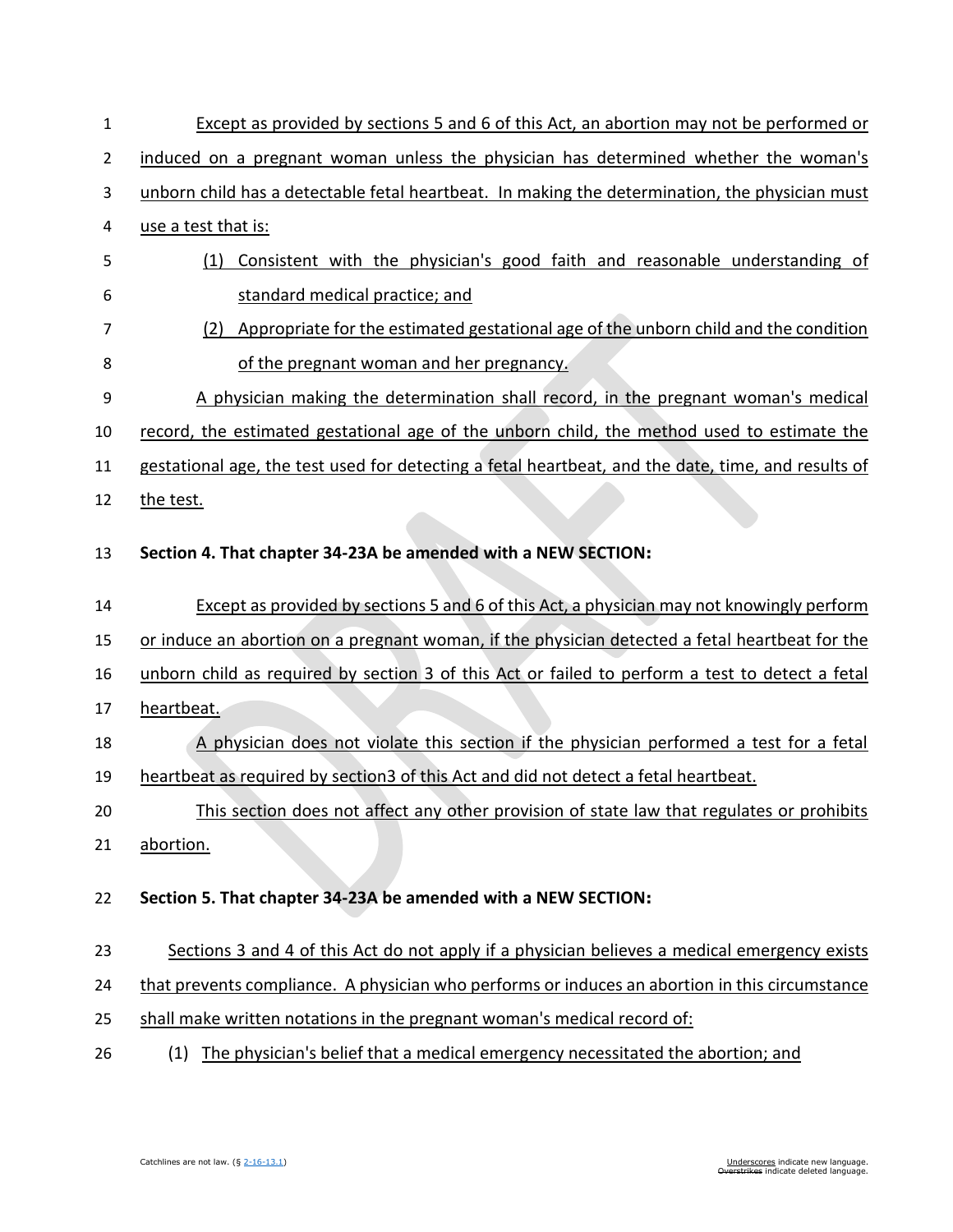| 1              | <b>Except as provided by sections 5 and 6 of this Act, an abortion may not be performed or</b>     |
|----------------|----------------------------------------------------------------------------------------------------|
| $\overline{2}$ | induced on a pregnant woman unless the physician has determined whether the woman's                |
| 3              | unborn child has a detectable fetal heartbeat. In making the determination, the physician must     |
| 4              | use a test that is:                                                                                |
| 5              | Consistent with the physician's good faith and reasonable understanding of<br>(1)                  |
| 6              | standard medical practice; and                                                                     |
| 7              | Appropriate for the estimated gestational age of the unborn child and the condition<br>(2)         |
| 8              | of the pregnant woman and her pregnancy.                                                           |
| 9              | A physician making the determination shall record, in the pregnant woman's medical                 |
| 10             | record, the estimated gestational age of the unborn child, the method used to estimate the         |
| 11             | gestational age, the test used for detecting a fetal heartbeat, and the date, time, and results of |
| 12             | the test.                                                                                          |
| 13             | Section 4. That chapter 34-23A be amended with a NEW SECTION:                                      |
| 14             | Except as provided by sections 5 and 6 of this Act, a physician may not knowingly perform          |
| 15             | or induce an abortion on a pregnant woman, if the physician detected a fetal heartbeat for the     |
| 16             | unborn child as required by section 3 of this Act or failed to perform a test to detect a fetal    |
| 17             | heartbeat.                                                                                         |
| 18             | A physician does not violate this section if the physician performed a test for a fetal            |
| 19             | heartbeat as required by section3 of this Act and did not detect a fetal heartbeat.                |
| 20             | This section does not affect any other provision of state law that regulates or prohibits          |
| 21             | abortion.                                                                                          |
| 22             | Section 5. That chapter 34-23A be amended with a NEW SECTION:                                      |
| 23             | Sections 3 and 4 of this Act do not apply if a physician believes a medical emergency exists       |
| 24             | that prevents compliance. A physician who performs or induces an abortion in this circumstance     |
| 25             | shall make written notations in the pregnant woman's medical record of:                            |
| 26             | The physician's belief that a medical emergency necessitated the abortion; and<br>(1)              |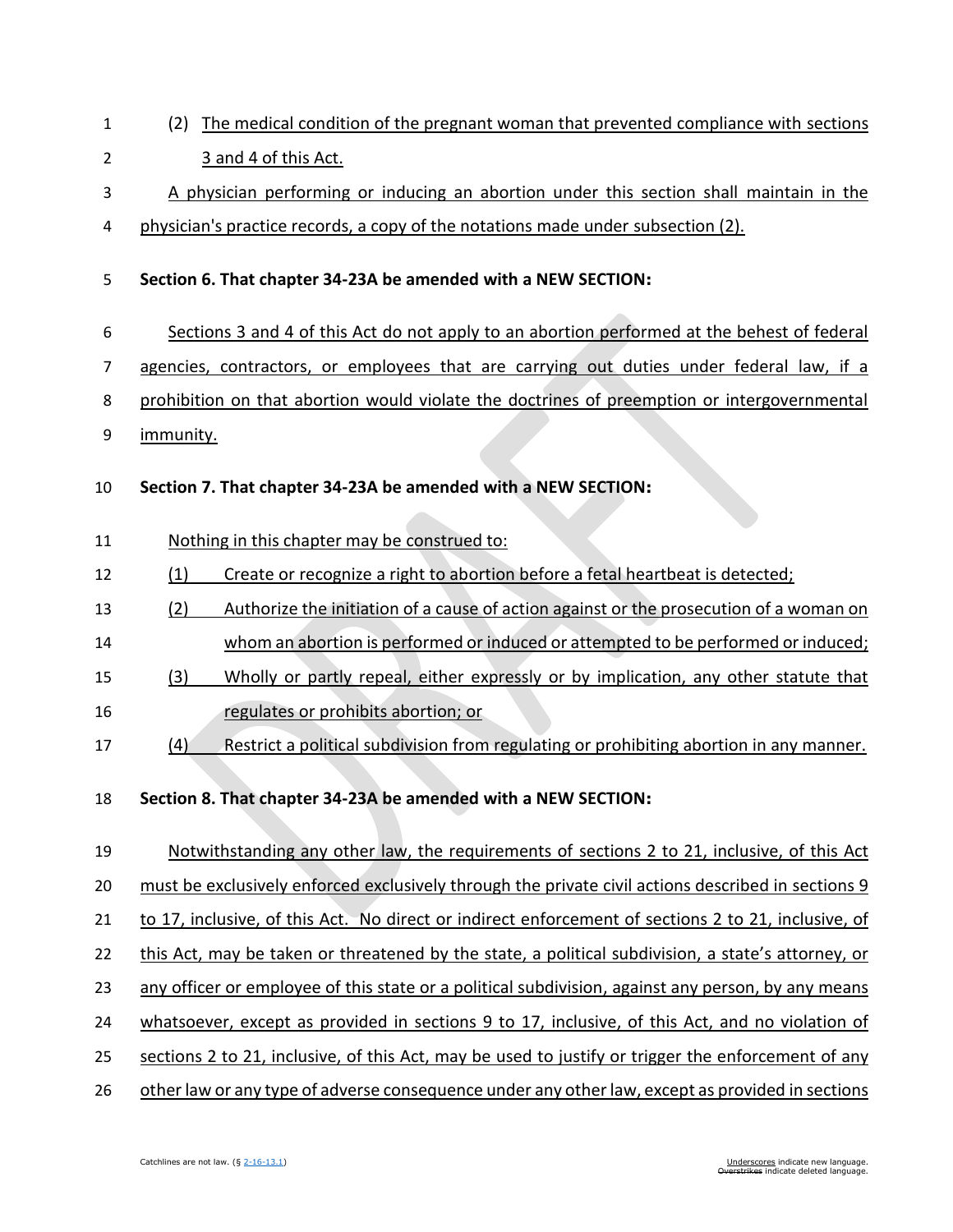| 1              | The medical condition of the pregnant woman that prevented compliance with sections<br>(2)          |
|----------------|-----------------------------------------------------------------------------------------------------|
| $\overline{2}$ | 3 and 4 of this Act.                                                                                |
| 3              | A physician performing or inducing an abortion under this section shall maintain in the             |
| 4              | physician's practice records, a copy of the notations made under subsection (2).                    |
| 5              | Section 6. That chapter 34-23A be amended with a NEW SECTION:                                       |
| 6              | Sections 3 and 4 of this Act do not apply to an abortion performed at the behest of federal         |
| 7              | agencies, contractors, or employees that are carrying out duties under federal law, if a            |
| 8              | prohibition on that abortion would violate the doctrines of preemption or intergovernmental         |
| 9              | immunity.                                                                                           |
| 10             | Section 7. That chapter 34-23A be amended with a NEW SECTION:                                       |
| 11             | Nothing in this chapter may be construed to:                                                        |
| 12             | Create or recognize a right to abortion before a fetal heartbeat is detected;<br>(1)                |
| 13             | Authorize the initiation of a cause of action against or the prosecution of a woman on<br>(2)       |
| 14             | whom an abortion is performed or induced or attempted to be performed or induced;                   |
| 15             | Wholly or partly repeal, either expressly or by implication, any other statute that<br>(3)          |
| 16             | regulates or prohibits abortion; or                                                                 |
| 17             | (4)<br>Restrict a political subdivision from regulating or prohibiting abortion in any manner.      |
| 18             | Section 8. That chapter 34-23A be amended with a NEW SECTION:                                       |
| 19             | Notwithstanding any other law, the requirements of sections 2 to 21, inclusive, of this Act         |
| 20             | must be exclusively enforced exclusively through the private civil actions described in sections 9  |
| 21             | to 17, inclusive, of this Act. No direct or indirect enforcement of sections 2 to 21, inclusive, of |
| 22             | this Act, may be taken or threatened by the state, a political subdivision, a state's attorney, or  |
| 23             | any officer or employee of this state or a political subdivision, against any person, by any means  |
| 24             | whatsoever, except as provided in sections 9 to 17, inclusive, of this Act, and no violation of     |
| 25             | sections 2 to 21, inclusive, of this Act, may be used to justify or trigger the enforcement of any  |
| 26             | other law or any type of adverse consequence under any other law, except as provided in sections    |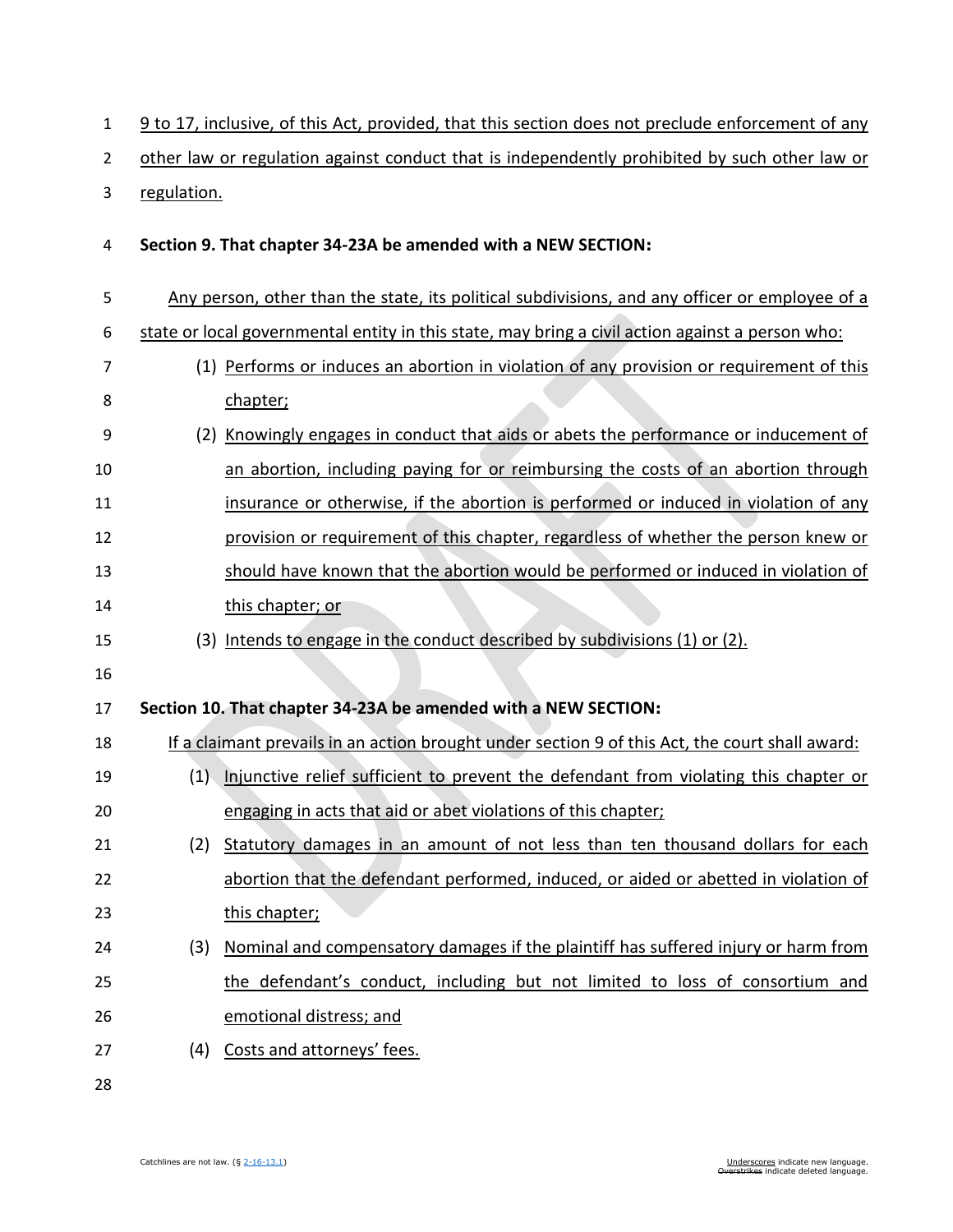| $\mathbf{1}$   | 9 to 17, inclusive, of this Act, provided, that this section does not preclude enforcement of any |  |  |  |  |
|----------------|---------------------------------------------------------------------------------------------------|--|--|--|--|
| $\overline{2}$ | other law or regulation against conduct that is independently prohibited by such other law or     |  |  |  |  |
| 3              | regulation.                                                                                       |  |  |  |  |
| 4              | Section 9. That chapter 34-23A be amended with a NEW SECTION:                                     |  |  |  |  |
| 5              | Any person, other than the state, its political subdivisions, and any officer or employee of a    |  |  |  |  |
| 6              | state or local governmental entity in this state, may bring a civil action against a person who:  |  |  |  |  |
| 7              | (1) Performs or induces an abortion in violation of any provision or requirement of this          |  |  |  |  |
| 8              | chapter;                                                                                          |  |  |  |  |
| 9              | Knowingly engages in conduct that aids or abets the performance or inducement of<br>(2)           |  |  |  |  |
| 10             | an abortion, including paying for or reimbursing the costs of an abortion through                 |  |  |  |  |
| 11             | insurance or otherwise, if the abortion is performed or induced in violation of any               |  |  |  |  |
| 12             | provision or requirement of this chapter, regardless of whether the person knew or                |  |  |  |  |
| 13             | should have known that the abortion would be performed or induced in violation of                 |  |  |  |  |
| 14             | this chapter; or                                                                                  |  |  |  |  |
| 15             | Intends to engage in the conduct described by subdivisions (1) or (2).<br>(3)                     |  |  |  |  |
| 16             |                                                                                                   |  |  |  |  |
| 17             | Section 10. That chapter 34-23A be amended with a NEW SECTION:                                    |  |  |  |  |
| 18             | If a claimant prevails in an action brought under section 9 of this Act, the court shall award:   |  |  |  |  |
| 19             | Injunctive relief sufficient to prevent the defendant from violating this chapter or<br>(1)       |  |  |  |  |
| 20             | engaging in acts that aid or abet violations of this chapter;                                     |  |  |  |  |
| 21             | Statutory damages in an amount of not less than ten thousand dollars for each<br>(2)              |  |  |  |  |
| 22             | abortion that the defendant performed, induced, or aided or abetted in violation of               |  |  |  |  |
| 23             | this chapter;                                                                                     |  |  |  |  |
| 24             | Nominal and compensatory damages if the plaintiff has suffered injury or harm from<br>(3)         |  |  |  |  |
| 25             | the defendant's conduct, including but not limited to loss of consortium and                      |  |  |  |  |
| 26             | emotional distress; and                                                                           |  |  |  |  |
| 27             | Costs and attorneys' fees.<br>(4)                                                                 |  |  |  |  |
| 28             |                                                                                                   |  |  |  |  |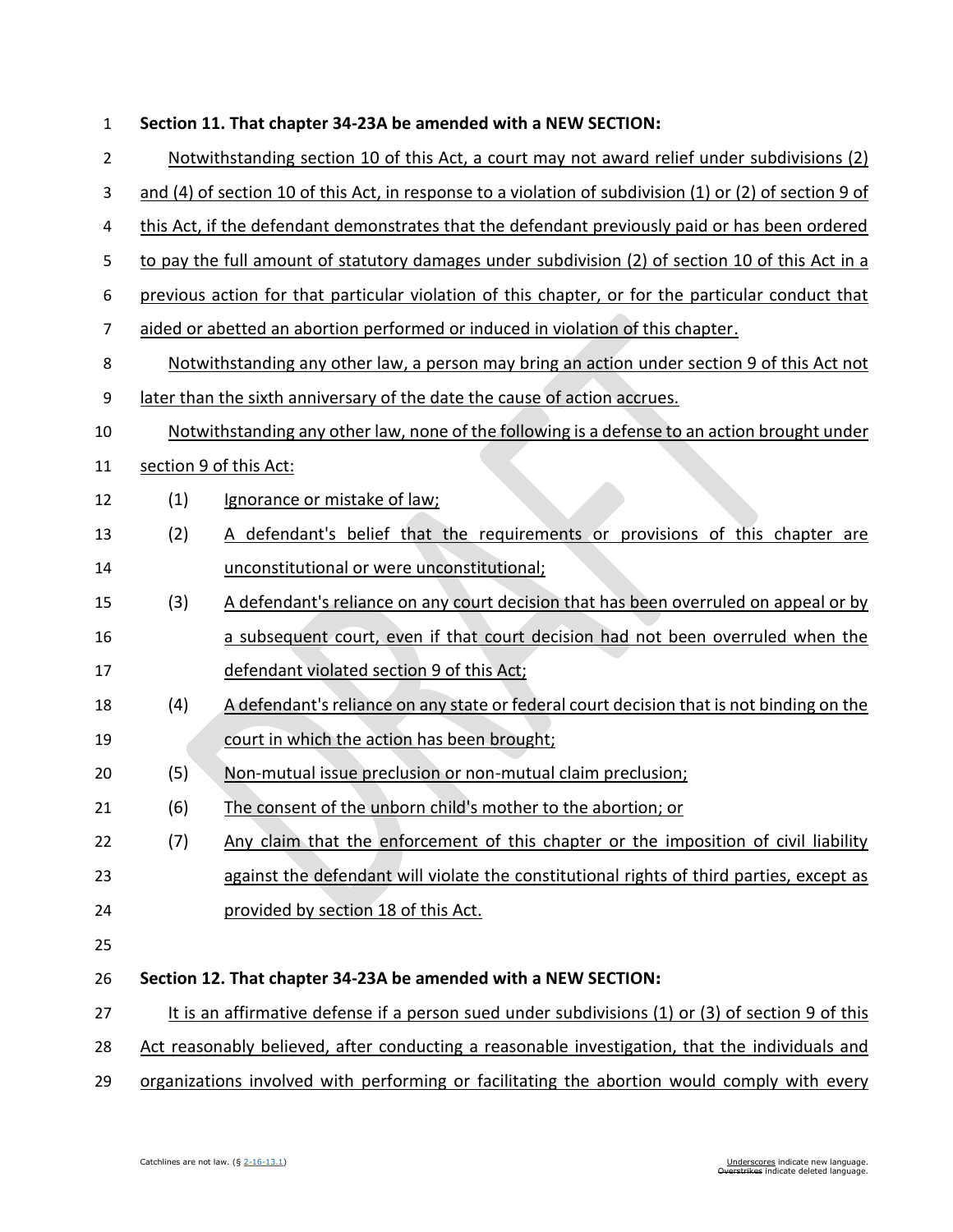| 1              | Section 11. That chapter 34-23A be amended with a NEW SECTION:                                          |                                                                                                   |  |
|----------------|---------------------------------------------------------------------------------------------------------|---------------------------------------------------------------------------------------------------|--|
| $\overline{2}$ | Notwithstanding section 10 of this Act, a court may not award relief under subdivisions (2)             |                                                                                                   |  |
| 3              | and (4) of section 10 of this Act, in response to a violation of subdivision (1) or (2) of section 9 of |                                                                                                   |  |
| 4              |                                                                                                         | this Act, if the defendant demonstrates that the defendant previously paid or has been ordered    |  |
| 5              |                                                                                                         | to pay the full amount of statutory damages under subdivision (2) of section 10 of this Act in a  |  |
| 6              |                                                                                                         | previous action for that particular violation of this chapter, or for the particular conduct that |  |
| 7              | aided or abetted an abortion performed or induced in violation of this chapter.                         |                                                                                                   |  |
| 8              | Notwithstanding any other law, a person may bring an action under section 9 of this Act not             |                                                                                                   |  |
| 9              |                                                                                                         | later than the sixth anniversary of the date the cause of action accrues.                         |  |
| 10             | Notwithstanding any other law, none of the following is a defense to an action brought under            |                                                                                                   |  |
| 11             | section 9 of this Act:                                                                                  |                                                                                                   |  |
| 12             | (1)                                                                                                     | Ignorance or mistake of law;                                                                      |  |
| 13             | (2)                                                                                                     | A defendant's belief that the requirements or provisions of this chapter are                      |  |
| 14             |                                                                                                         | unconstitutional or were unconstitutional;                                                        |  |
| 15             | (3)                                                                                                     | A defendant's reliance on any court decision that has been overruled on appeal or by              |  |
| 16             |                                                                                                         | a subsequent court, even if that court decision had not been overruled when the                   |  |
| 17             |                                                                                                         | defendant violated section 9 of this Act;                                                         |  |
| 18             | (4)                                                                                                     | A defendant's reliance on any state or federal court decision that is not binding on the          |  |
| 19             |                                                                                                         | court in which the action has been brought;                                                       |  |
| 20             | (5)                                                                                                     | Non-mutual issue preclusion or non-mutual claim preclusion;                                       |  |
| 21             | (6)                                                                                                     | The consent of the unborn child's mother to the abortion; or                                      |  |
| 22             | (7)                                                                                                     | Any claim that the enforcement of this chapter or the imposition of civil liability               |  |
| 23             |                                                                                                         | against the defendant will violate the constitutional rights of third parties, except as          |  |
| 24             |                                                                                                         | provided by section 18 of this Act.                                                               |  |
| 25             |                                                                                                         |                                                                                                   |  |
| 26             |                                                                                                         | Section 12. That chapter 34-23A be amended with a NEW SECTION:                                    |  |
| 27             |                                                                                                         | It is an affirmative defense if a person sued under subdivisions (1) or (3) of section 9 of this  |  |
| 28             | Act reasonably believed, after conducting a reasonable investigation, that the individuals and          |                                                                                                   |  |
| 29             |                                                                                                         | organizations involved with performing or facilitating the abortion would comply with every       |  |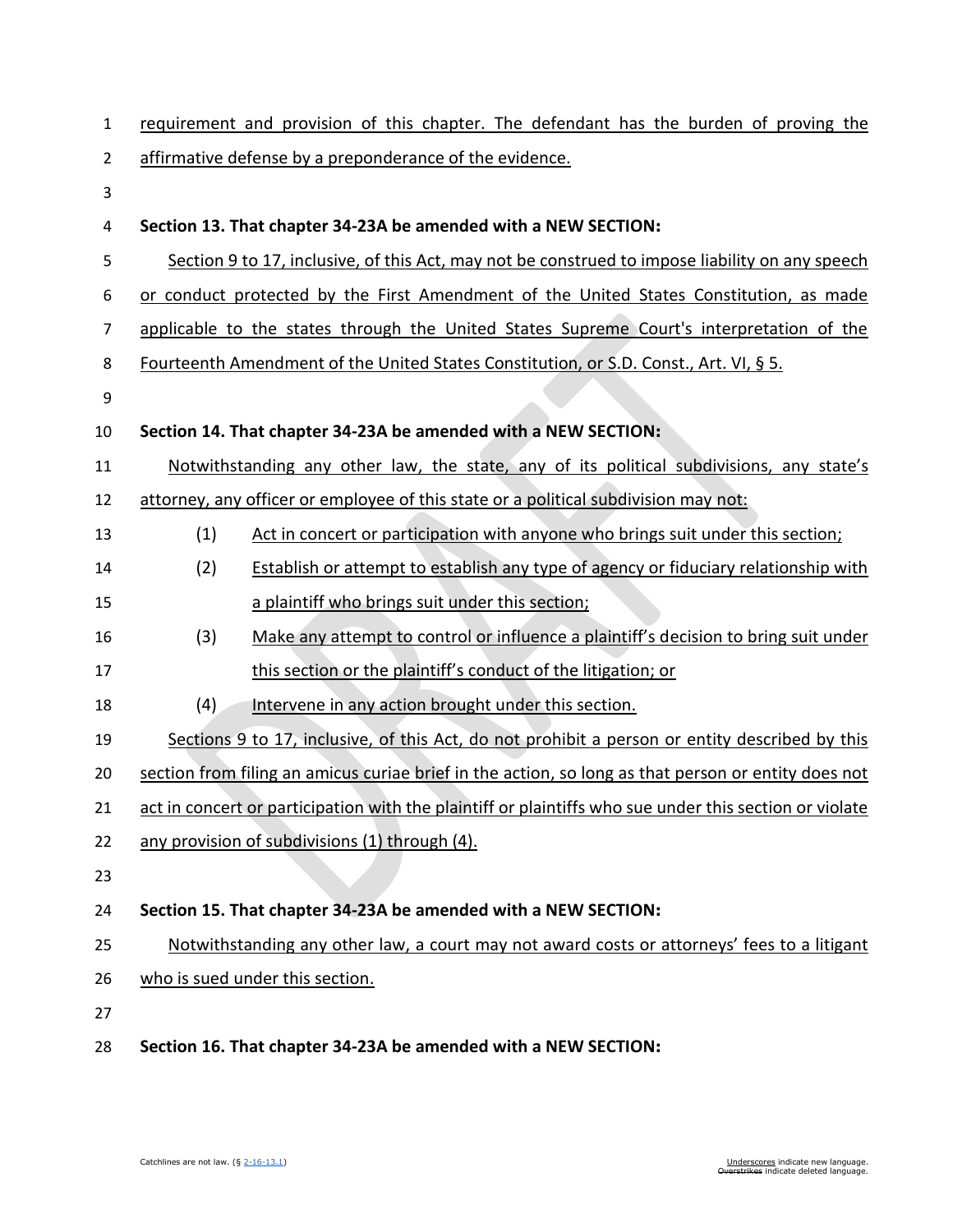| 1              | requirement and provision of this chapter. The defendant has the burden of proving the                 |  |  |
|----------------|--------------------------------------------------------------------------------------------------------|--|--|
| $\overline{2}$ | affirmative defense by a preponderance of the evidence.                                                |  |  |
| 3              |                                                                                                        |  |  |
| 4              | Section 13. That chapter 34-23A be amended with a NEW SECTION:                                         |  |  |
| 5              | Section 9 to 17, inclusive, of this Act, may not be construed to impose liability on any speech        |  |  |
| 6              | or conduct protected by the First Amendment of the United States Constitution, as made                 |  |  |
| 7              | applicable to the states through the United States Supreme Court's interpretation of the               |  |  |
| 8              | Fourteenth Amendment of the United States Constitution, or S.D. Const., Art. VI, § 5.                  |  |  |
| 9              |                                                                                                        |  |  |
| 10             | Section 14. That chapter 34-23A be amended with a NEW SECTION:                                         |  |  |
| 11             | Notwithstanding any other law, the state, any of its political subdivisions, any state's               |  |  |
| 12             | attorney, any officer or employee of this state or a political subdivision may not:                    |  |  |
| 13             | (1)<br>Act in concert or participation with anyone who brings suit under this section;                 |  |  |
| 14             | (2)<br>Establish or attempt to establish any type of agency or fiduciary relationship with             |  |  |
| 15             | a plaintiff who brings suit under this section;                                                        |  |  |
| 16             | Make any attempt to control or influence a plaintiff's decision to bring suit under<br>(3)             |  |  |
| 17             | this section or the plaintiff's conduct of the litigation; or                                          |  |  |
| 18             | Intervene in any action brought under this section.<br>(4)                                             |  |  |
| 19             | Sections 9 to 17, inclusive, of this Act, do not prohibit a person or entity described by this         |  |  |
| 20             | section from filing an amicus curiae brief in the action, so long as that person or entity does not    |  |  |
| 21             | act in concert or participation with the plaintiff or plaintiffs who sue under this section or violate |  |  |
| 22             | any provision of subdivisions (1) through (4).                                                         |  |  |
| 23             |                                                                                                        |  |  |
| 24             | Section 15. That chapter 34-23A be amended with a NEW SECTION:                                         |  |  |
| 25             | Notwithstanding any other law, a court may not award costs or attorneys' fees to a litigant            |  |  |
| 26             | who is sued under this section.                                                                        |  |  |
| 27             |                                                                                                        |  |  |
| 28             | Section 16. That chapter 34-23A be amended with a NEW SECTION:                                         |  |  |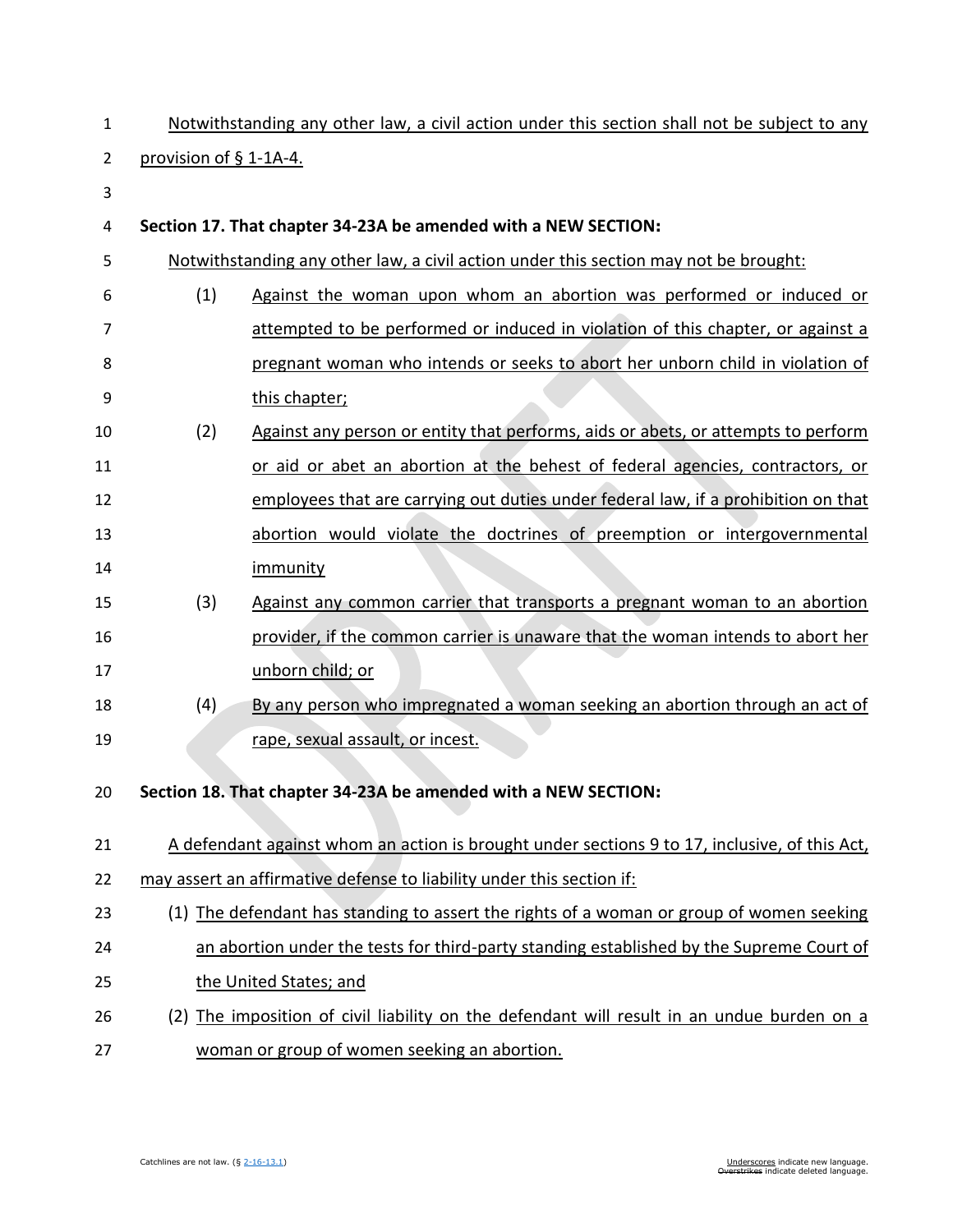| $\mathbf{1}$ | Notwithstanding any other law, a civil action under this section shall not be subject to any |                                                                                               |  |
|--------------|----------------------------------------------------------------------------------------------|-----------------------------------------------------------------------------------------------|--|
| 2            | provision of § 1-1A-4.                                                                       |                                                                                               |  |
| 3            |                                                                                              |                                                                                               |  |
| 4            |                                                                                              | Section 17. That chapter 34-23A be amended with a NEW SECTION:                                |  |
| 5            |                                                                                              | Notwithstanding any other law, a civil action under this section may not be brought:          |  |
| 6            | (1)                                                                                          | Against the woman upon whom an abortion was performed or induced or                           |  |
| 7            |                                                                                              | attempted to be performed or induced in violation of this chapter, or against a               |  |
| 8            |                                                                                              | pregnant woman who intends or seeks to abort her unborn child in violation of                 |  |
| 9            |                                                                                              | this chapter;                                                                                 |  |
| 10           | (2)                                                                                          | Against any person or entity that performs, aids or abets, or attempts to perform             |  |
| 11           |                                                                                              | or aid or abet an abortion at the behest of federal agencies, contractors, or                 |  |
| 12           |                                                                                              | employees that are carrying out duties under federal law, if a prohibition on that            |  |
| 13           |                                                                                              | abortion would violate the doctrines of preemption or intergovernmental                       |  |
| 14           |                                                                                              | <i>immunity</i>                                                                               |  |
| 15           | (3)                                                                                          | Against any common carrier that transports a pregnant woman to an abortion                    |  |
| 16           |                                                                                              | provider, if the common carrier is unaware that the woman intends to abort her                |  |
| 17           |                                                                                              | unborn child; or                                                                              |  |
| 18           | (4)                                                                                          | By any person who impregnated a woman seeking an abortion through an act of                   |  |
| 19           |                                                                                              | rape, sexual assault, or incest.                                                              |  |
|              |                                                                                              |                                                                                               |  |
| 20           |                                                                                              | Section 18. That chapter 34-23A be amended with a NEW SECTION:                                |  |
| 21           |                                                                                              | A defendant against whom an action is brought under sections 9 to 17, inclusive, of this Act, |  |
| 22           |                                                                                              | may assert an affirmative defense to liability under this section if:                         |  |
| 23           |                                                                                              | (1) The defendant has standing to assert the rights of a woman or group of women seeking      |  |
| 24           |                                                                                              | an abortion under the tests for third-party standing established by the Supreme Court of      |  |
| 25           |                                                                                              | the United States; and                                                                        |  |
| 26           |                                                                                              | (2) The imposition of civil liability on the defendant will result in an undue burden on a    |  |
| 27           |                                                                                              | woman or group of women seeking an abortion.                                                  |  |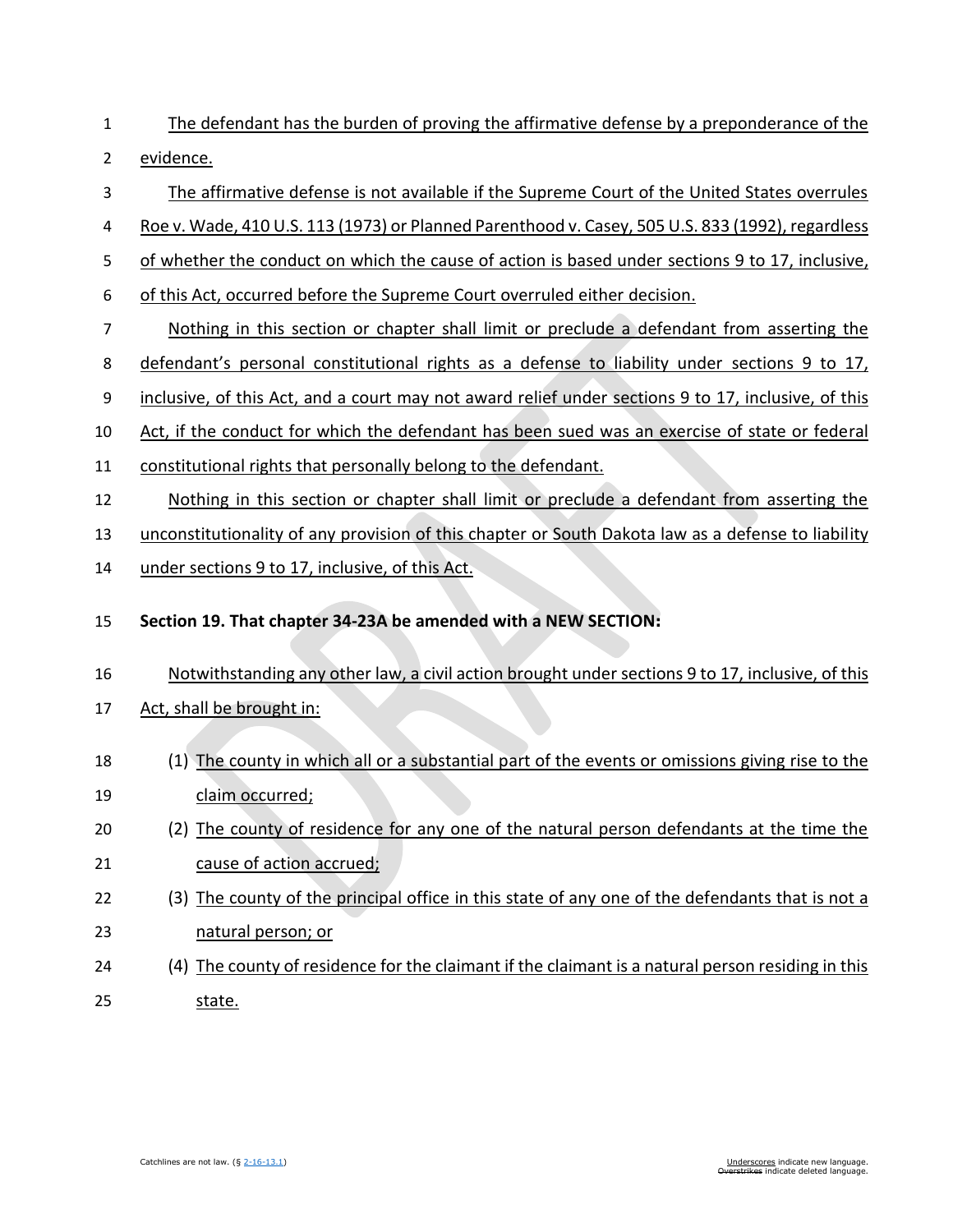The defendant has the burden of proving the affirmative defense by a preponderance of the

evidence.

- The affirmative defense is not available if the Supreme Court of the United States overrules
- Roe v. Wade, 410 U.S. 113 (1973) or Planned Parenthood v. Casey, 505 U.S. 833 (1992), regardless
- of whether the conduct on which the cause of action is based under sections 9 to 17, inclusive,
- of this Act, occurred before the Supreme Court overruled either decision.
- Nothing in this section or chapter shall limit or preclude a defendant from asserting the
- defendant's personal constitutional rights as a defense to liability under sections 9 to 17,
- inclusive, of this Act, and a court may not award relief under sections 9 to 17, inclusive, of this
- Act, if the conduct for which the defendant has been sued was an exercise of state or federal
- constitutional rights that personally belong to the defendant.
- Nothing in this section or chapter shall limit or preclude a defendant from asserting the
- unconstitutionality of any provision of this chapter or South Dakota law as a defense to liability
- under sections 9 to 17, inclusive, of this Act.
- **Section 19. That chapter 34-23A be amended with a NEW SECTION:**

## 16 Notwithstanding any other law, a civil action brought under sections 9 to 17, inclusive, of this

- Act, shall be brought in:
- (1) The county in which all or a substantial part of the events or omissions giving rise to the
- claim occurred;
- (2) The county of residence for any one of the natural person defendants at the time the cause of action accrued;
- (3) The county of the principal office in this state of any one of the defendants that is not a natural person; or
- (4) The county of residence for the claimant if the claimant is a natural person residing in this state.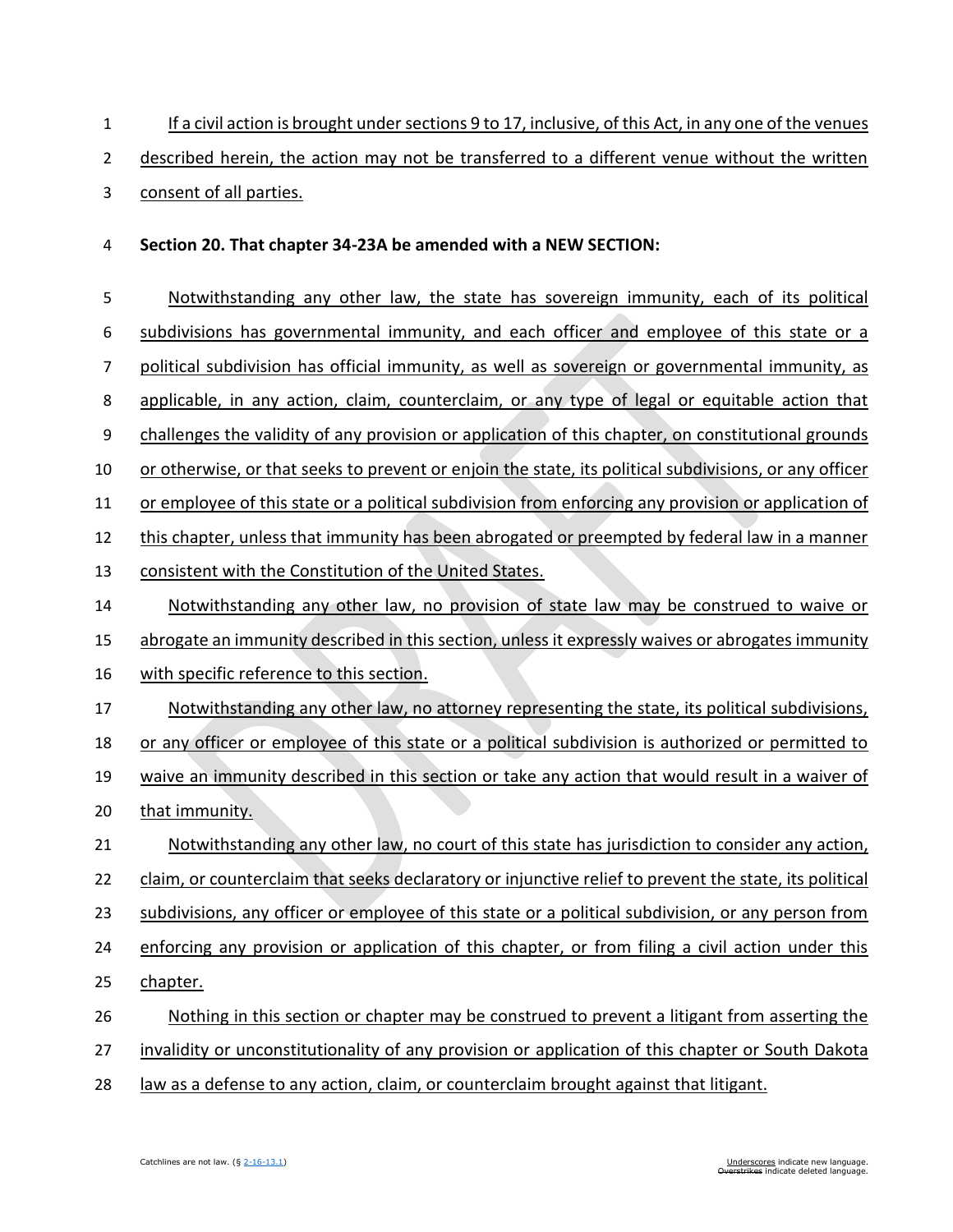|  | If a civil action is brought under sections 9 to 17, inclusive, of this Act, in any one of the venues |  |  |  |
|--|-------------------------------------------------------------------------------------------------------|--|--|--|
|--|-------------------------------------------------------------------------------------------------------|--|--|--|

2 described herein, the action may not be transferred to a different venue without the written

consent of all parties.

### **Section 20. That chapter 34-23A be amended with a NEW SECTION:**

- Notwithstanding any other law, the state has sovereign immunity, each of its political
- subdivisions has governmental immunity, and each officer and employee of this state or a
- political subdivision has official immunity, as well as sovereign or governmental immunity, as
- applicable, in any action, claim, counterclaim, or any type of legal or equitable action that
- challenges the validity of any provision or application of this chapter, on constitutional grounds
- or otherwise, or that seeks to prevent or enjoin the state, its political subdivisions, or any officer
- or employee of this state or a political subdivision from enforcing any provision or application of
- this chapter, unless that immunity has been abrogated or preempted by federal law in a manner
- consistent with the Constitution of the United States.
- Notwithstanding any other law, no provision of state law may be construed to waive or
- abrogate an immunity described in this section, unless it expressly waives or abrogates immunity
- with specific reference to this section.
- Notwithstanding any other law, no attorney representing the state, its political subdivisions,

or any officer or employee of this state or a political subdivision is authorized or permitted to

- waive an immunity described in this section or take any action that would result in a waiver of
- that immunity.
- Notwithstanding any other law, no court of this state has jurisdiction to consider any action,
- claim, or counterclaim that seeks declaratory or injunctive relief to prevent the state, its political
- subdivisions, any officer or employee of this state or a political subdivision, or any person from
- enforcing any provision or application of this chapter, or from filing a civil action under this
- 25 chapter.
- Nothing in this section or chapter may be construed to prevent a litigant from asserting the
- invalidity or unconstitutionality of any provision or application of this chapter or South Dakota
- law as a defense to any action, claim, or counterclaim brought against that litigant.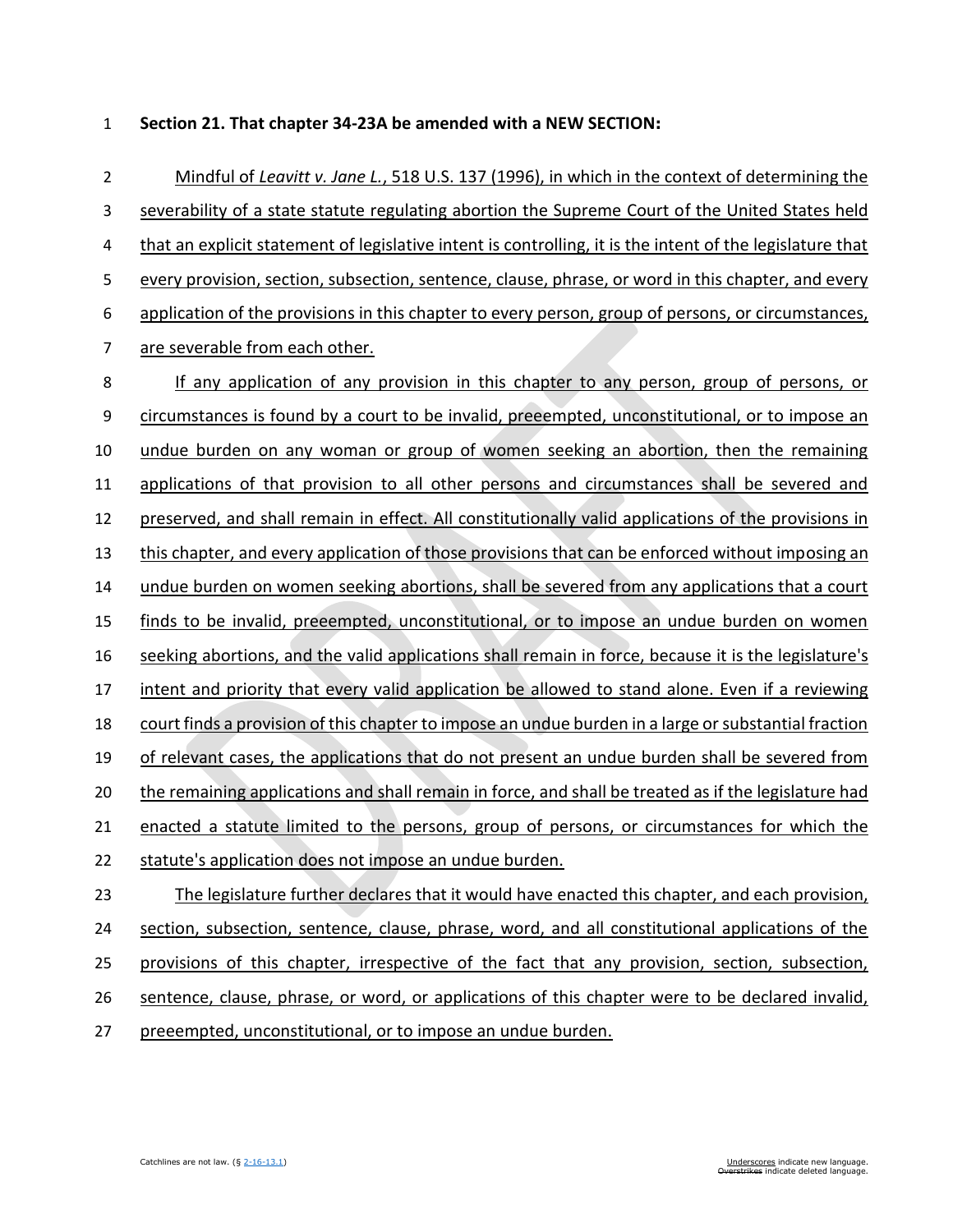#### **Section 21. That chapter 34-23A be amended with a NEW SECTION:**

 Mindful of *Leavitt v. Jane L.*, 518 U.S. 137 (1996), in which in the context of determining the severability of a state statute regulating abortion the Supreme Court of the United States held that an explicit statement of legislative intent is controlling, it is the intent of the legislature that every provision, section, subsection, sentence, clause, phrase, or word in this chapter, and every application of the provisions in this chapter to every person, group of persons, or circumstances, are severable from each other. If any application of any provision in this chapter to any person, group of persons, or circumstances is found by a court to be invalid, preeempted, unconstitutional, or to impose an undue burden on any woman or group of women seeking an abortion, then the remaining applications of that provision to all other persons and circumstances shall be severed and preserved, and shall remain in effect. All constitutionally valid applications of the provisions in this chapter, and every application of those provisions that can be enforced without imposing an undue burden on women seeking abortions, shall be severed from any applications that a court finds to be invalid, preeempted, unconstitutional, or to impose an undue burden on women seeking abortions, and the valid applications shall remain in force, because it is the legislature's intent and priority that every valid application be allowed to stand alone. Even if a reviewing court finds a provision of this chapter to impose an undue burden in a large or substantial fraction of relevant cases, the applications that do not present an undue burden shall be severed from the remaining applications and shall remain in force, and shall be treated as if the legislature had enacted a statute limited to the persons, group of persons, or circumstances for which the statute's application does not impose an undue burden. The legislature further declares that it would have enacted this chapter, and each provision, section, subsection, sentence, clause, phrase, word, and all constitutional applications of the provisions of this chapter, irrespective of the fact that any provision, section, subsection, sentence, clause, phrase, or word, or applications of this chapter were to be declared invalid, preeempted, unconstitutional, or to impose an undue burden.